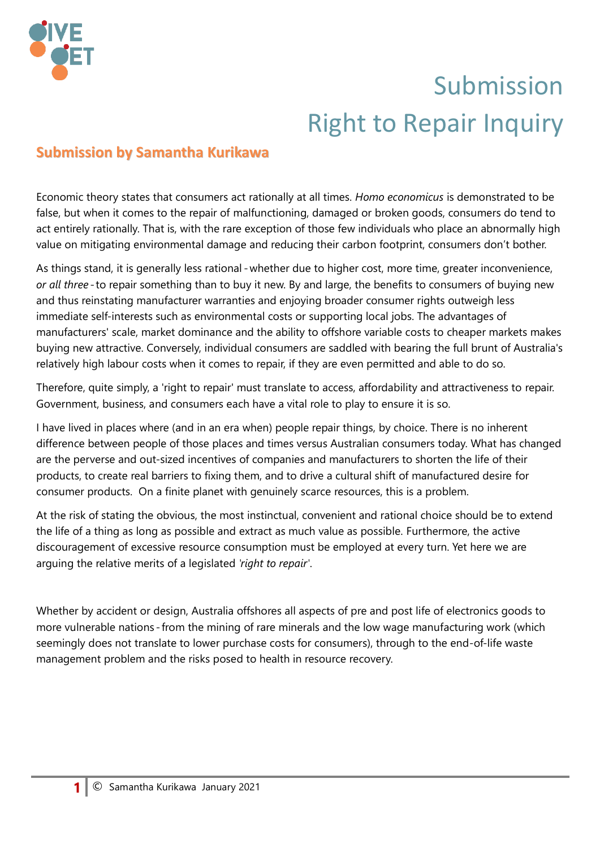

## Submission Right to Repair Inquiry

## **Submission by Samantha Kurikawa**

Economic theory states that consumers act rationally at all times. *Homo economicus* is demonstrated to be false, but when it comes to the repair of malfunctioning, damaged or broken goods, consumers do tend to act entirely rationally. That is, with the rare exception of those few individuals who place an abnormally high value on mitigating environmental damage and reducing their carbon footprint, consumers don't bother.

As things stand, it is generally less rational - whether due to higher cost, more time, greater inconvenience, *or all three* - to repair something than to buy it new. By and large, the benefits to consumers of buying new and thus reinstating manufacturer warranties and enjoying broader consumer rights outweigh less immediate self-interests such as environmental costs or supporting local jobs. The advantages of manufacturers' scale, market dominance and the ability to offshore variable costs to cheaper markets makes buying new attractive. Conversely, individual consumers are saddled with bearing the full brunt of Australia's relatively high labour costs when it comes to repair, if they are even permitted and able to do so.

Therefore, quite simply, a 'right to repair' must translate to access, affordability and attractiveness to repair. Government, business, and consumers each have a vital role to play to ensure it is so.

I have lived in places where (and in an era when) people repair things, by choice. There is no inherent difference between people of those places and times versus Australian consumers today. What has changed are the perverse and out-sized incentives of companies and manufacturers to shorten the life of their products, to create real barriers to fixing them, and to drive a cultural shift of manufactured desire for consumer products. On a finite planet with genuinely scarce resources, this is a problem.

At the risk of stating the obvious, the most instinctual, convenient and rational choice should be to extend the life of a thing as long as possible and extract as much value as possible. Furthermore, the active discouragement of excessive resource consumption must be employed at every turn. Yet here we are arguing the relative merits of a legislated *'right to repair'*.

Whether by accident or design, Australia offshores all aspects of pre and post life of electronics goods to more vulnerable nations - from the mining of rare minerals and the low wage manufacturing work (which seemingly does not translate to lower purchase costs for consumers), through to the end-of-life waste management problem and the risks posed to health in resource recovery.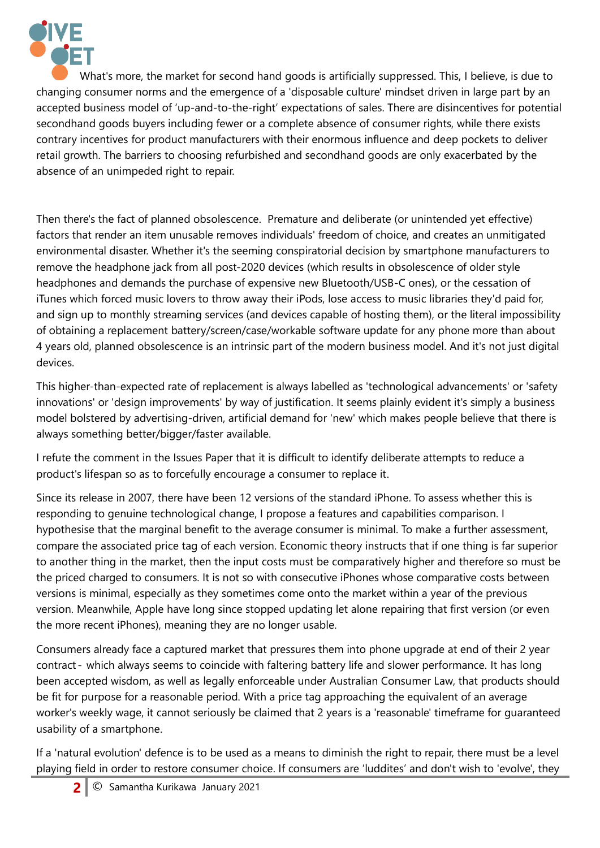

What's more, the market for second hand goods is artificially suppressed. This, I believe, is due to changing consumer norms and the emergence of a 'disposable culture' mindset driven in large part by an accepted business model of 'up-and-to-the-right' expectations of sales. There are disincentives for potential secondhand goods buyers including fewer or a complete absence of consumer rights, while there exists contrary incentives for product manufacturers with their enormous influence and deep pockets to deliver retail growth. The barriers to choosing refurbished and secondhand goods are only exacerbated by the absence of an unimpeded right to repair.

Then there's the fact of planned obsolescence. Premature and deliberate (or unintended yet effective) factors that render an item unusable removes individuals' freedom of choice, and creates an unmitigated environmental disaster. Whether it's the seeming conspiratorial decision by smartphone manufacturers to remove the headphone jack from all post-2020 devices (which results in obsolescence of older style headphones and demands the purchase of expensive new Bluetooth/USB-C ones), or the cessation of iTunes which forced music lovers to throw away their iPods, lose access to music libraries they'd paid for, and sign up to monthly streaming services (and devices capable of hosting them), or the literal impossibility of obtaining a replacement battery/screen/case/workable software update for any phone more than about 4 years old, planned obsolescence is an intrinsic part of the modern business model. And it's not just digital devices.

This higher-than-expected rate of replacement is always labelled as 'technological advancements' or 'safety innovations' or 'design improvements' by way of justification. It seems plainly evident it's simply a business model bolstered by advertising-driven, artificial demand for 'new' which makes people believe that there is always something better/bigger/faster available.

I refute the comment in the Issues Paper that it is difficult to identify deliberate attempts to reduce a product's lifespan so as to forcefully encourage a consumer to replace it.

Since its release in 2007, there have been 12 versions of the standard iPhone. To assess whether this is responding to genuine technological change, I propose a features and capabilities comparison. I hypothesise that the marginal benefit to the average consumer is minimal. To make a further assessment, compare the associated price tag of each version. Economic theory instructs that if one thing is far superior to another thing in the market, then the input costs must be comparatively higher and therefore so must be the priced charged to consumers. It is not so with consecutive iPhones whose comparative costs between versions is minimal, especially as they sometimes come onto the market within a year of the previous version. Meanwhile, Apple have long since stopped updating let alone repairing that first version (or even the more recent iPhones), meaning they are no longer usable.

Consumers already face a captured market that pressures them into phone upgrade at end of their 2 year contract - which always seems to coincide with faltering battery life and slower performance. It has long been accepted wisdom, as well as legally enforceable under Australian Consumer Law, that products should be fit for purpose for a reasonable period. With a price tag approaching the equivalent of an average worker's weekly wage, it cannot seriously be claimed that 2 years is a 'reasonable' timeframe for guaranteed usability of a smartphone.

If a 'natural evolution' defence is to be used as a means to diminish the right to repair, there must be a level playing field in order to restore consumer choice. If consumers are 'luddites' and don't wish to 'evolve', they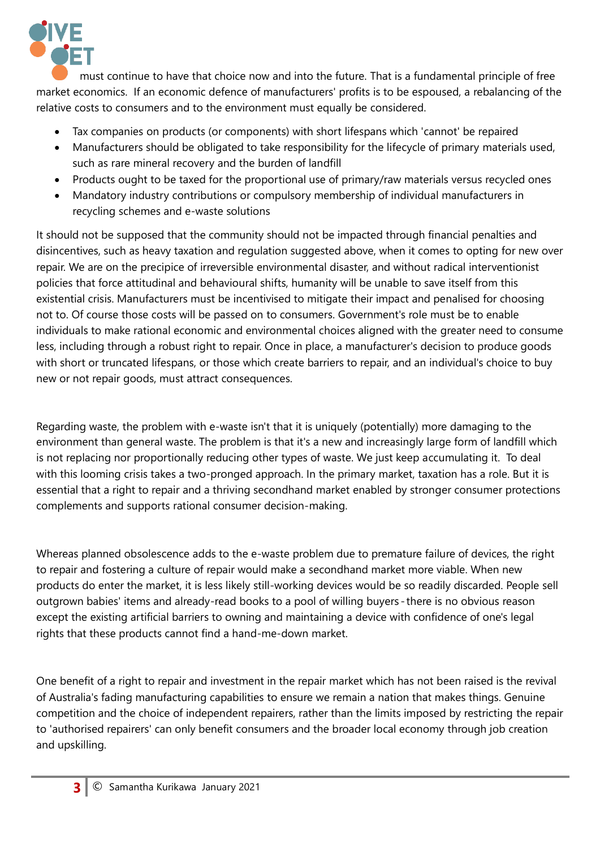

must continue to have that choice now and into the future. That is a fundamental principle of free market economics. If an economic defence of manufacturers' profits is to be espoused, a rebalancing of the relative costs to consumers and to the environment must equally be considered.

- Tax companies on products (or components) with short lifespans which 'cannot' be repaired
- Manufacturers should be obligated to take responsibility for the lifecycle of primary materials used, such as rare mineral recovery and the burden of landfill
- Products ought to be taxed for the proportional use of primary/raw materials versus recycled ones
- Mandatory industry contributions or compulsory membership of individual manufacturers in recycling schemes and e-waste solutions

It should not be supposed that the community should not be impacted through financial penalties and disincentives, such as heavy taxation and regulation suggested above, when it comes to opting for new over repair. We are on the precipice of irreversible environmental disaster, and without radical interventionist policies that force attitudinal and behavioural shifts, humanity will be unable to save itself from this existential crisis. Manufacturers must be incentivised to mitigate their impact and penalised for choosing not to. Of course those costs will be passed on to consumers. Government's role must be to enable individuals to make rational economic and environmental choices aligned with the greater need to consume less, including through a robust right to repair. Once in place, a manufacturer's decision to produce goods with short or truncated lifespans, or those which create barriers to repair, and an individual's choice to buy new or not repair goods, must attract consequences.

Regarding waste, the problem with e-waste isn't that it is uniquely (potentially) more damaging to the environment than general waste. The problem is that it's a new and increasingly large form of landfill which is not replacing nor proportionally reducing other types of waste. We just keep accumulating it. To deal with this looming crisis takes a two-pronged approach. In the primary market, taxation has a role. But it is essential that a right to repair and a thriving secondhand market enabled by stronger consumer protections complements and supports rational consumer decision-making.

Whereas planned obsolescence adds to the e-waste problem due to premature failure of devices, the right to repair and fostering a culture of repair would make a secondhand market more viable. When new products do enter the market, it is less likely still-working devices would be so readily discarded. People sell outgrown babies' items and already-read books to a pool of willing buyers - there is no obvious reason except the existing artificial barriers to owning and maintaining a device with confidence of one's legal rights that these products cannot find a hand-me-down market.

One benefit of a right to repair and investment in the repair market which has not been raised is the revival of Australia's fading manufacturing capabilities to ensure we remain a nation that makes things. Genuine competition and the choice of independent repairers, rather than the limits imposed by restricting the repair to 'authorised repairers' can only benefit consumers and the broader local economy through job creation and upskilling.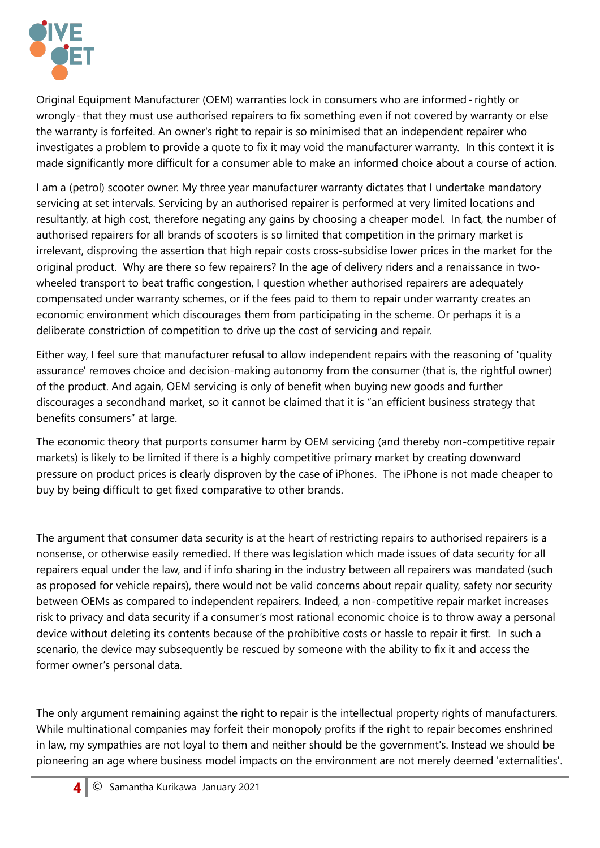

Original Equipment Manufacturer (OEM) warranties lock in consumers who are informed - rightly or wrongly-that they must use authorised repairers to fix something even if not covered by warranty or else the warranty is forfeited. An owner's right to repair is so minimised that an independent repairer who investigates a problem to provide a quote to fix it may void the manufacturer warranty. In this context it is made significantly more difficult for a consumer able to make an informed choice about a course of action.

I am a (petrol) scooter owner. My three year manufacturer warranty dictates that I undertake mandatory servicing at set intervals. Servicing by an authorised repairer is performed at very limited locations and resultantly, at high cost, therefore negating any gains by choosing a cheaper model. In fact, the number of authorised repairers for all brands of scooters is so limited that competition in the primary market is irrelevant, disproving the assertion that high repair costs cross-subsidise lower prices in the market for the original product. Why are there so few repairers? In the age of delivery riders and a renaissance in twowheeled transport to beat traffic congestion, I question whether authorised repairers are adequately compensated under warranty schemes, or if the fees paid to them to repair under warranty creates an economic environment which discourages them from participating in the scheme. Or perhaps it is a deliberate constriction of competition to drive up the cost of servicing and repair.

Either way, I feel sure that manufacturer refusal to allow independent repairs with the reasoning of 'quality assurance' removes choice and decision-making autonomy from the consumer (that is, the rightful owner) of the product. And again, OEM servicing is only of benefit when buying new goods and further discourages a secondhand market, so it cannot be claimed that it is "an efficient business strategy that benefits consumers" at large.

The economic theory that purports consumer harm by OEM servicing (and thereby non-competitive repair markets) is likely to be limited if there is a highly competitive primary market by creating downward pressure on product prices is clearly disproven by the case of iPhones. The iPhone is not made cheaper to buy by being difficult to get fixed comparative to other brands.

The argument that consumer data security is at the heart of restricting repairs to authorised repairers is a nonsense, or otherwise easily remedied. If there was legislation which made issues of data security for all repairers equal under the law, and if info sharing in the industry between all repairers was mandated (such as proposed for vehicle repairs), there would not be valid concerns about repair quality, safety nor security between OEMs as compared to independent repairers. Indeed, a non-competitive repair market increases risk to privacy and data security if a consumer's most rational economic choice is to throw away a personal device without deleting its contents because of the prohibitive costs or hassle to repair it first. In such a scenario, the device may subsequently be rescued by someone with the ability to fix it and access the former owner's personal data.

The only argument remaining against the right to repair is the intellectual property rights of manufacturers. While multinational companies may forfeit their monopoly profits if the right to repair becomes enshrined in law, my sympathies are not loyal to them and neither should be the government's. Instead we should be pioneering an age where business model impacts on the environment are not merely deemed 'externalities'.